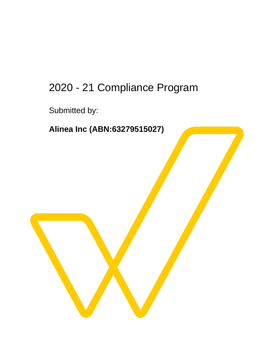# 2020 - 21 Compliance Program

Submitted by:

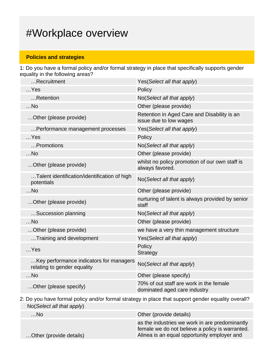## #Workplace overview

## **Policies and strategies**

1: Do you have a formal policy and/or formal strategy in place that specifically supports gender equality in the following areas?

| Recruitment                                                            | Yes (Select all that apply)                                             |
|------------------------------------------------------------------------|-------------------------------------------------------------------------|
| $$ Yes                                                                 | Policy                                                                  |
| Retention                                                              | No(Select all that apply)                                               |
| $$ No                                                                  | Other (please provide)                                                  |
| Other (please provide)                                                 | Retention in Aged Care and Disability is an<br>issue due to low wages   |
| Performance management processes                                       | Yes (Select all that apply)                                             |
| $$ Yes                                                                 | Policy                                                                  |
| Promotions                                                             | No(Select all that apply)                                               |
| $$ No                                                                  | Other (please provide)                                                  |
| Other (please provide)                                                 | whilst no policy promotion of our own staff is<br>always favored.       |
| Talent identification/identification of high<br>potentials             | No(Select all that apply)                                               |
| $$ No                                                                  | Other (please provide)                                                  |
| Other (please provide)                                                 | nurturing of talent is always provided by senior<br>staff               |
| Succession planning                                                    | No(Select all that apply)                                               |
| $$ No                                                                  | Other (please provide)                                                  |
| Other (please provide)                                                 | we have a very thin management structure                                |
| Training and development                                               | Yes(Select all that apply)                                              |
| $$ Yes                                                                 | Policy<br><b>Strategy</b>                                               |
| Key performance indicators for managers<br>relating to gender equality | No(Select all that apply)                                               |
| $$ No                                                                  | Other (please specify)                                                  |
| Other (please specify)                                                 | 70% of out staff are work in the female<br>dominated aged care industry |
|                                                                        |                                                                         |

2: Do you have formal policy and/or formal strategy in place that support gender equality overall? No(Select all that apply)

| $$ No                   | Other (provide details)                                                                                                                          |
|-------------------------|--------------------------------------------------------------------------------------------------------------------------------------------------|
| Other (provide details) | as the industries we work in are predominantly<br>female we do not believe a policy is warranted.<br>Alinea is an equal opportunity employer and |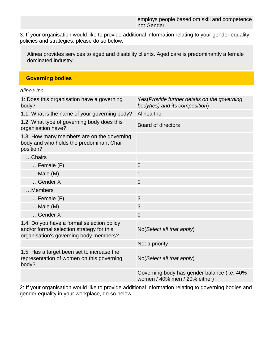3: If your organisation would like to provide additional information relating to your gender equality policies and strategies, please do so below.

Alinea provides services to aged and disability clients. Aged care is predominantly a female dominated industry.

#### **Governing bodies**

Alinea Inc

| 1: Does this organisation have a governing<br>body?                                                                               | Yes(Provide further details on the governing<br>body(ies) and its composition) |
|-----------------------------------------------------------------------------------------------------------------------------------|--------------------------------------------------------------------------------|
| 1.1: What is the name of your governing body?                                                                                     | Alinea Inc                                                                     |
| 1.2: What type of governing body does this<br>organisation have?                                                                  | <b>Board of directors</b>                                                      |
| 1.3: How many members are on the governing<br>body and who holds the predominant Chair<br>position?                               |                                                                                |
| Chairs                                                                                                                            |                                                                                |
| $Female(F)$                                                                                                                       | $\overline{0}$                                                                 |
| $Male(M)$                                                                                                                         | 1                                                                              |
| Gender X                                                                                                                          | $\overline{0}$                                                                 |
| Members                                                                                                                           |                                                                                |
| $F$ emale $(F)$                                                                                                                   | 3                                                                              |
| $Male(M)$                                                                                                                         | 3                                                                              |
| Gender X                                                                                                                          | $\overline{0}$                                                                 |
| 1.4: Do you have a formal selection policy<br>and/or formal selection strategy for this<br>organisation's governing body members? | No(Select all that apply)                                                      |
|                                                                                                                                   | Not a priority                                                                 |
| 1.5: Has a target been set to increase the<br>representation of women on this governing<br>body?                                  | No(Select all that apply)                                                      |
|                                                                                                                                   | Governing body has gender balance (i.e. 40%<br>women / 40% men / 20% either)   |

2: If your organisation would like to provide additional information relating to governing bodies and gender equality in your workplace, do so below.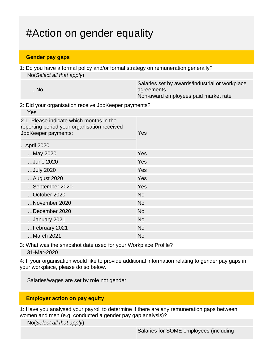## #Action on gender equality

#### **Gender pay gaps**

1: Do you have a formal policy and/or formal strategy on remuneration generally? No(Select all that apply)

| Salaries set by awards/industrial or workplace |
|------------------------------------------------|
| agreements                                     |
| Non-award employees paid market rate           |
|                                                |

2: Did your organisation receive JobKeeper payments?

| Yes                                                                                                            |            |
|----------------------------------------------------------------------------------------------------------------|------------|
| 2.1: Please indicate which months in the<br>reporting period your organisation received<br>JobKeeper payments: | <b>Yes</b> |
| April 2020                                                                                                     |            |
| May 2020                                                                                                       | Yes        |
| June 2020                                                                                                      | Yes        |
| July 2020                                                                                                      | Yes        |
| August 2020                                                                                                    | Yes        |
| September 2020                                                                                                 | Yes        |
| October 2020                                                                                                   | <b>No</b>  |
| November 2020                                                                                                  | <b>No</b>  |
| December 2020                                                                                                  | <b>No</b>  |
| January 2021                                                                                                   | <b>No</b>  |
| February 2021                                                                                                  | <b>No</b>  |
| March 2021                                                                                                     | <b>No</b>  |

3: What was the snapshot date used for your Workplace Profile? 31-Mar-2020

4: If your organisation would like to provide additional information relating to gender pay gaps in your workplace, please do so below.

Salaries/wages are set by role not gender

### **Employer action on pay equity**

1: Have you analysed your payroll to determine if there are any remuneration gaps between women and men (e.g. conducted a gender pay gap analysis)?

No(Select all that apply)

Salaries for SOME employees (including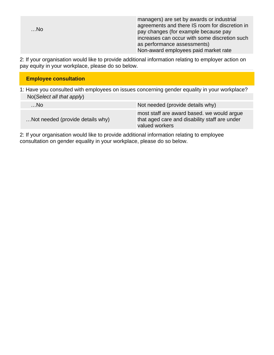| $$ No         |  | managers) are set by awards or industrial<br>agreements and there IS room for discretion in<br>pay changes (for example because pay<br>increases can occur with some discretion such<br>as performance assessments)<br>Non-award employees paid market rate |
|---------------|--|-------------------------------------------------------------------------------------------------------------------------------------------------------------------------------------------------------------------------------------------------------------|
| $\sim$ $\sim$ |  |                                                                                                                                                                                                                                                             |

2: If your organisation would like to provide additional information relating to employer action on pay equity in your workplace, please do so below.

| 1: Have you consulted with employees on issues concerning gender equality in your workplace? |
|----------------------------------------------------------------------------------------------|
|                                                                                              |
| Not needed (provide details why)                                                             |
| most staff are award based. we would argue<br>that aged care and disability staff are under  |
|                                                                                              |

2: If your organisation would like to provide additional information relating to employee consultation on gender equality in your workplace, please do so below.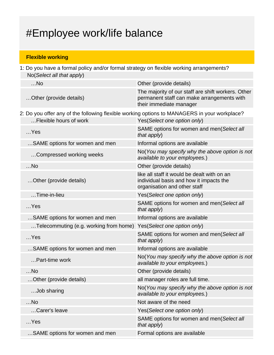# #Employee work/life balance

## **Flexible working**

| 1: Do you have a formal policy and/or formal strategy on flexible working arrangements?      |                                                                                                                             |  |
|----------------------------------------------------------------------------------------------|-----------------------------------------------------------------------------------------------------------------------------|--|
| No(Select all that apply)                                                                    |                                                                                                                             |  |
| $$ No                                                                                        | Other (provide details)                                                                                                     |  |
| Other (provide details)                                                                      | The majority of our staff are shift workers. Other<br>permanent staff can make arrangements with<br>their immediate manager |  |
| 2: Do you offer any of the following flexible working options to MANAGERS in your workplace? |                                                                                                                             |  |
| Flexible hours of work                                                                       | Yes(Select one option only)                                                                                                 |  |
| $$ Yes                                                                                       | SAME options for women and men(Select all<br>that apply)                                                                    |  |
| SAME options for women and men                                                               | Informal options are available                                                                                              |  |
| Compressed working weeks                                                                     | No(You may specify why the above option is not<br>available to your employees.)                                             |  |
| $$ No                                                                                        | Other (provide details)                                                                                                     |  |
| Other (provide details)                                                                      | like all staff it would be dealt with on an<br>individual basis and how it impacts the<br>organisation and other staff      |  |
| Time-in-lieu                                                                                 | Yes(Select one option only)                                                                                                 |  |
| $$ Yes                                                                                       | SAME options for women and men(Select all<br>that apply)                                                                    |  |
| SAME options for women and men                                                               | Informal options are available                                                                                              |  |
| Telecommuting (e.g. working from home)                                                       | Yes(Select one option only)                                                                                                 |  |
| $$ Yes                                                                                       | SAME options for women and men(Select all<br>that apply)                                                                    |  |
| SAME options for women and men                                                               | Informal options are available                                                                                              |  |
| Part-time work                                                                               | No(You may specify why the above option is not<br>available to your employees.)                                             |  |
| $$ No                                                                                        | Other (provide details)                                                                                                     |  |
| Other (provide details)                                                                      | all manager roles are full time.                                                                                            |  |
| Job sharing                                                                                  | No(You may specify why the above option is not<br>available to your employees.)                                             |  |
| $$ No                                                                                        | Not aware of the need                                                                                                       |  |
| Carer's leave                                                                                | Yes(Select one option only)                                                                                                 |  |
| $$ Yes                                                                                       | SAME options for women and men(Select all<br>that apply)                                                                    |  |
| SAME options for women and men                                                               | Formal options are available                                                                                                |  |
|                                                                                              |                                                                                                                             |  |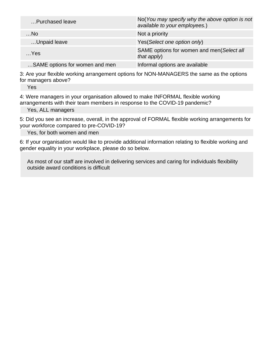| Purchased leave                | No(You may specify why the above option is not<br>available to your employees.) |
|--------------------------------|---------------------------------------------------------------------------------|
| $$ No                          | Not a priority                                                                  |
| Unpaid leave                   | Yes(Select one option only)                                                     |
| $$ Yes                         | SAME options for women and men(Select all<br>that $apply$ )                     |
| SAME options for women and men | Informal options are available                                                  |

3: Are your flexible working arrangement options for NON-MANAGERS the same as the options for managers above?

Yes

4: Were managers in your organisation allowed to make INFORMAL flexible working arrangements with their team members in response to the COVID-19 pandemic?

Yes, ALL managers

5: Did you see an increase, overall, in the approval of FORMAL flexible working arrangements for your workforce compared to pre-COVID-19?

Yes, for both women and men

6: If your organisation would like to provide additional information relating to flexible working and gender equality in your workplace, please do so below.

As most of our staff are involved in delivering services and caring for individuals flexibility outside award conditions is difficult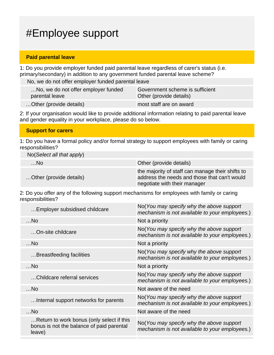## #Employee support

#### **Paid parental leave**

1: Do you provide employer funded paid parental leave regardless of carer's status (i.e. primary/secondary) in addition to any government funded parental leave scheme?

No, we do not offer employer funded parental leave

| No, we do not offer employer funded | Government scheme is sufficient |
|-------------------------------------|---------------------------------|
| parental leave                      | Other (provide details)         |
| Other (provide details)             | most staff are on award         |

2: If your organisation would like to provide additional information relating to paid parental leave and gender equality in your workplace, please do so below.

#### **Support for carers**

1: Do you have a formal policy and/or formal strategy to support employees with family or caring responsibilities?

| $No(Select\ all\ that\ apply)$ |                                                                                                                                  |
|--------------------------------|----------------------------------------------------------------------------------------------------------------------------------|
| …No.                           | Other (provide details)                                                                                                          |
| Other (provide details)        | the majority of staff can manage their shifts to<br>address the needs and those that can't would<br>negotiate with their manager |

2: Do you offer any of the following support mechanisms for employees with family or caring responsibilities?

| Employer subsidised childcare                                                                    | No(You may specify why the above support<br>mechanism is not available to your employees.) |
|--------------------------------------------------------------------------------------------------|--------------------------------------------------------------------------------------------|
| $$ No                                                                                            | Not a priority                                                                             |
| On-site childcare                                                                                | No(You may specify why the above support<br>mechanism is not available to your employees.) |
| $$ No                                                                                            | Not a priority                                                                             |
| Breastfeeding facilities                                                                         | No(You may specify why the above support<br>mechanism is not available to your employees.) |
| $$ No                                                                                            | Not a priority                                                                             |
| Childcare referral services                                                                      | No(You may specify why the above support<br>mechanism is not available to your employees.) |
| $$ No                                                                                            | Not aware of the need                                                                      |
| Internal support networks for parents                                                            | No(You may specify why the above support<br>mechanism is not available to your employees.) |
| $$ No                                                                                            | Not aware of the need                                                                      |
| Return to work bonus (only select if this<br>bonus is not the balance of paid parental<br>leave) | No(You may specify why the above support<br>mechanism is not available to your employees.) |
|                                                                                                  |                                                                                            |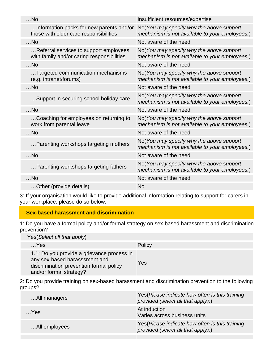| $$ No                                                                                | Insufficient resources/expertise                                                           |
|--------------------------------------------------------------------------------------|--------------------------------------------------------------------------------------------|
| Information packs for new parents and/or<br>those with elder care responsibilities   | No(You may specify why the above support<br>mechanism is not available to your employees.) |
| $$ No                                                                                | Not aware of the need                                                                      |
| Referral services to support employees<br>with family and/or caring responsibilities | No(You may specify why the above support<br>mechanism is not available to your employees.) |
| $$ No                                                                                | Not aware of the need                                                                      |
| Targeted communication mechanisms<br>(e.g. intranet/forums)                          | No(You may specify why the above support<br>mechanism is not available to your employees.) |
| $$ No                                                                                | Not aware of the need                                                                      |
| Support in securing school holiday care                                              | No(You may specify why the above support<br>mechanism is not available to your employees.) |
| $$ No                                                                                | Not aware of the need                                                                      |
| Coaching for employees on returning to<br>work from parental leave                   | No(You may specify why the above support<br>mechanism is not available to your employees.) |
| $$ No                                                                                | Not aware of the need                                                                      |
| Parenting workshops targeting mothers                                                | No(You may specify why the above support<br>mechanism is not available to your employees.) |
| $$ No                                                                                | Not aware of the need                                                                      |
| Parenting workshops targeting fathers                                                | No(You may specify why the above support<br>mechanism is not available to your employees.) |
| $$ No                                                                                | Not aware of the need                                                                      |
| Other (provide details)                                                              | No                                                                                         |

3: If your organisation would like to provide additional information relating to support for carers in your workplace, please do so below.

### **Sex-based harassment and discrimination**

1: Do you have a formal policy and/or formal strategy on sex-based harassment and discrimination prevention?

Yes(Select all that apply)

|                                                                                                     | .                                          |        |
|-----------------------------------------------------------------------------------------------------|--------------------------------------------|--------|
| $$ Yes                                                                                              |                                            | Policy |
| any sex-based harasssment and<br>discrimination prevention formal policy<br>and/or formal strategy? | 1.1: Do you provide a grievance process in | Yes    |

2: Do you provide training on sex-based harassment and discrimination prevention to the following groups?

| All managers  | Yes (Please indicate how often is this training<br>provided (select all that apply):) |
|---------------|---------------------------------------------------------------------------------------|
| $$ Yes        | At induction<br>Varies across business units                                          |
| All employees | Yes (Please indicate how often is this training<br>provided (select all that apply):) |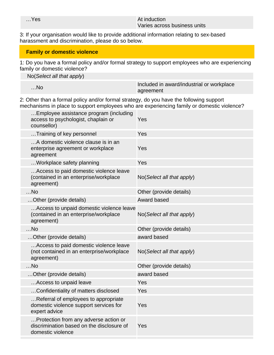#### …Yes At induction and the set of the set of the set of the set of the set of the set of the set of the set of the set of the set of the set of the set of the set of the set of the set of the set of the set of the set of th Varies across business units

3: If your organisation would like to provide additional information relating to sex-based harassment and discrimination, please do so below.

### **Family or domestic violence**

1: Do you have a formal policy and/or formal strategy to support employees who are experiencing family or domestic violence?

| $No(Select\ all\ that\ apply)$ |                                           |
|--------------------------------|-------------------------------------------|
|                                |                                           |
|                                | Included in award/industrial or workplace |
| …No                            | agreement                                 |
|                                |                                           |

2: Other than a formal policy and/or formal strategy, do you have the following support mechanisms in place to support employees who are experiencing family or domestic violence?

| Employee assistance program (including<br>access to psychologist, chaplain or<br>counsellor)            | Yes                       |
|---------------------------------------------------------------------------------------------------------|---------------------------|
| Training of key personnel                                                                               | Yes                       |
| A domestic violence clause is in an<br>enterprise agreement or workplace<br>agreement                   | Yes                       |
| Workplace safety planning                                                                               | Yes                       |
| Access to paid domestic violence leave<br>(contained in an enterprise/workplace<br>agreement)           | No(Select all that apply) |
| $$ No                                                                                                   | Other (provide details)   |
| Other (provide details)                                                                                 | Award based               |
| Access to unpaid domestic violence leave<br>(contained in an enterprise/workplace<br>agreement)         | No(Select all that apply) |
| $$ No                                                                                                   | Other (provide details)   |
|                                                                                                         |                           |
| Other (provide details)                                                                                 | award based               |
| Access to paid domestic violence leave<br>(not contained in an enterprise/workplace<br>agreement)       | No(Select all that apply) |
| $$ No                                                                                                   | Other (provide details)   |
| Other (provide details)                                                                                 | award based               |
| Access to unpaid leave                                                                                  | Yes                       |
| Confidentiality of matters disclosed                                                                    | Yes                       |
| Referral of employees to appropriate<br>domestic violence support services for<br>expert advice         | Yes                       |
| Protection from any adverse action or<br>discrimination based on the disclosure of<br>domestic violence | Yes                       |